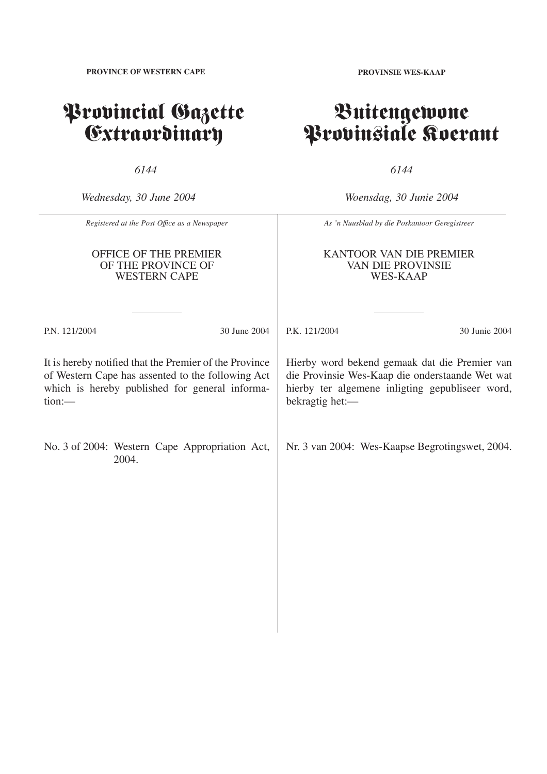**PROVINCE OF WESTERN CAPE**

## Provincial Gazette Extraordinary

*6144*

*Wednesday, 30 June 2004*

*Woensdag, 30 Junie 2004*

*6144*

| Registered at the Post Office as a Newspaper                                                                                                                               |  |                                                 | As 'n Nuusblad by die Poskantoor Geregistreer                                                                                                                          |               |
|----------------------------------------------------------------------------------------------------------------------------------------------------------------------------|--|-------------------------------------------------|------------------------------------------------------------------------------------------------------------------------------------------------------------------------|---------------|
| <b>OFFICE OF THE PREMIER</b><br>OF THE PROVINCE OF<br><b>WESTERN CAPE</b>                                                                                                  |  |                                                 | KANTOOR VAN DIE PREMIER<br><b>VAN DIE PROVINSIE</b><br><b>WES-KAAP</b>                                                                                                 |               |
| P.N. 121/2004                                                                                                                                                              |  | 30 June 2004                                    | P.K. 121/2004                                                                                                                                                          | 30 Junie 2004 |
| It is hereby notified that the Premier of the Province<br>of Western Cape has assented to the following Act<br>which is hereby published for general informa-<br>$tion:$ — |  |                                                 | Hierby word bekend gemaak dat die Premier van<br>die Provinsie Wes-Kaap die onderstaande Wet wat<br>hierby ter algemene inligting gepubliseer word,<br>bekragtig het:- |               |
| No. 3 of 2004: Western Cape Appropriation Act,<br>2004.                                                                                                                    |  | Nr. 3 van 2004: Wes-Kaapse Begrotingswet, 2004. |                                                                                                                                                                        |               |
|                                                                                                                                                                            |  |                                                 |                                                                                                                                                                        |               |
|                                                                                                                                                                            |  |                                                 |                                                                                                                                                                        |               |
|                                                                                                                                                                            |  |                                                 |                                                                                                                                                                        |               |

Buitengewone

Provinsiale Koerant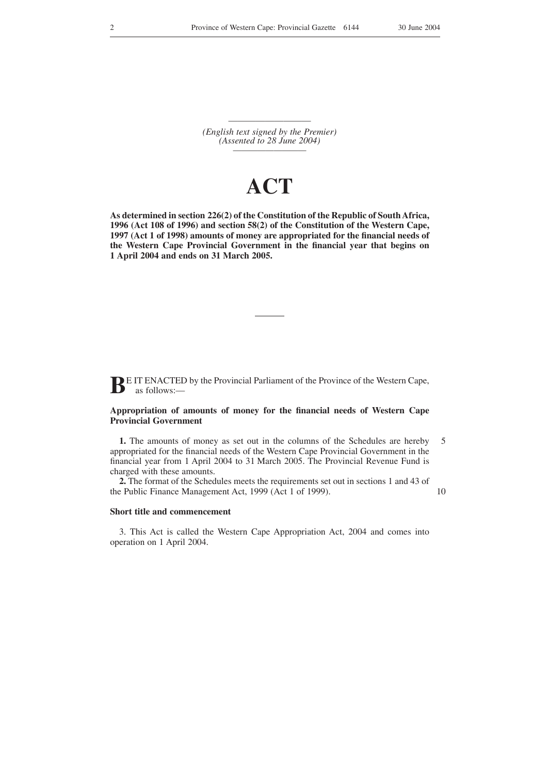————————— *(English text signed by the Premier) (Assented to 28 June 2004) —————————*

## **ACT**

**As determined in section 226(2) of the Constitution of the Republic of South Africa, 1996 (Act 108 of 1996) and section 58(2) of the Constitution of the Western Cape, 1997 (Act 1 of 1998) amounts of money are appropriated for the financial needs of the Western Cape Provincial Government in the financial year that begins on 1 April 2004 and ends on 31 March 2005.**

**BE IT ENACTED by the Provincial Parliament of the Province of the Western Cape,** as follows:—

## **Appropriation of amounts of money for the financial needs of Western Cape Provincial Government**

**1.** The amounts of money as set out in the columns of the Schedules are hereby appropriated for the financial needs of the Western Cape Provincial Government in the financial year from 1 April 2004 to 31 March 2005. The Provincial Revenue Fund is charged with these amounts. 5

**2.** The format of the Schedules meets the requirements set out in sections 1 and 43 of the Public Finance Management Act, 1999 (Act 1 of 1999).

10

## **Short title and commencement**

3. This Act is called the Western Cape Appropriation Act, 2004 and comes into operation on 1 April 2004.